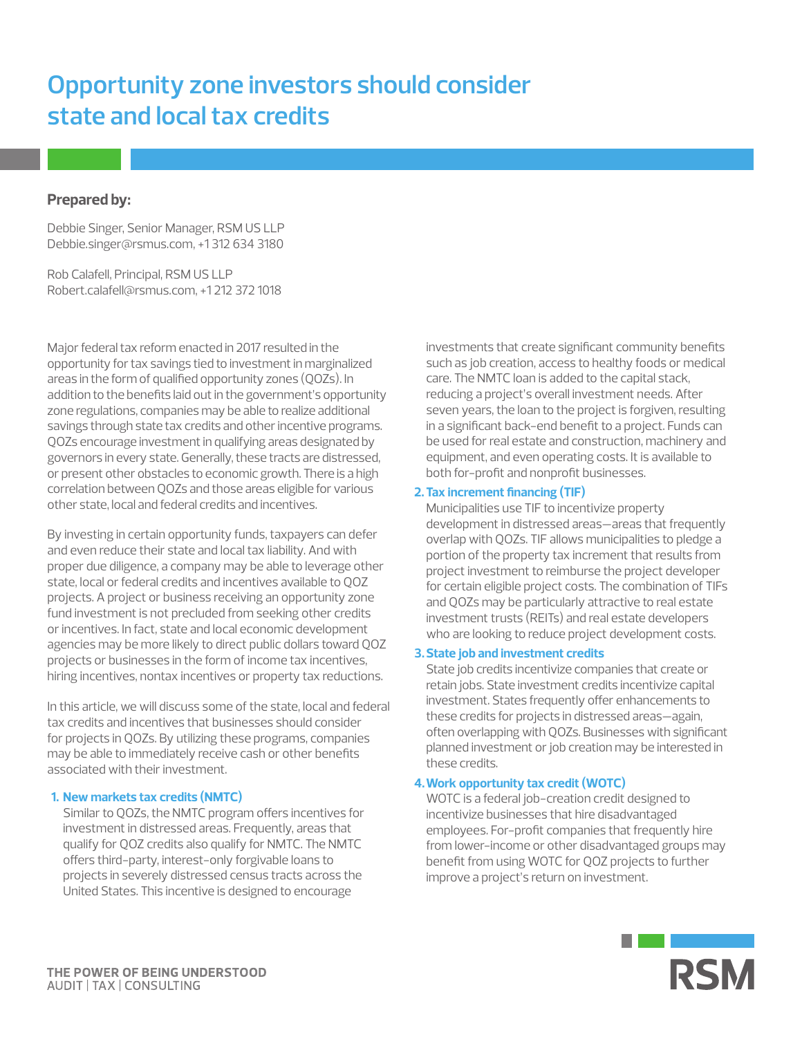# **Opportunity zone investors should consider state and local tax credits**

## **Prepared by:**

Debbie Singer, Senior Manager, RSM US LLP Debbie.singer@rsmus.com, +1 312 634 3180

Rob Calafell, Principal, RSM US LLP Robert.calafell@rsmus.com, +1 212 372 1018

Major federal tax reform enacted in 2017 resulted in the opportunity for tax savings tied to investment in marginalized areas in the form of qualified opportunity zones (QOZs). In addition to the benefits laid out in the government's opportunity zone regulations, companies may be able to realize additional savings through state tax credits and other incentive programs. QOZs encourage investment in qualifying areas designated by governors in every state. Generally, these tracts are distressed, or present other obstacles to economic growth. There is a high correlation between QOZs and those areas eligible for various other state, local and federal credits and incentives.

By investing in certain opportunity funds, taxpayers can defer and even reduce their state and local tax liability. And with proper due diligence, a company may be able to leverage other state, local or federal credits and incentives available to QOZ projects. A project or business receiving an opportunity zone fund investment is not precluded from seeking other credits or incentives. In fact, state and local economic development agencies may be more likely to direct public dollars toward QOZ projects or businesses in the form of income tax incentives, hiring incentives, nontax incentives or property tax reductions.

In this article, we will discuss some of the state, local and federal tax credits and incentives that businesses should consider for projects in QOZs. By utilizing these programs, companies may be able to immediately receive cash or other benefits associated with their investment.

#### **1. New markets tax credits (NMTC)**

Similar to QOZs, the NMTC program offers incentives for investment in distressed areas. Frequently, areas that qualify for QOZ credits also qualify for NMTC. The NMTC offers third-party, interest-only forgivable loans to projects in severely distressed census tracts across the United States. This incentive is designed to encourage

investments that create significant community benefits such as job creation, access to healthy foods or medical care. The NMTC loan is added to the capital stack, reducing a project's overall investment needs. After seven years, the loan to the project is forgiven, resulting in a significant back-end benefit to a project. Funds can be used for real estate and construction, machinery and equipment, and even operating costs. It is available to both for-profit and nonprofit businesses.

#### **2.Tax increment financing (TIF)**

Municipalities use TIF to incentivize property development in distressed areas—areas that frequently overlap with QOZs. TIF allows municipalities to pledge a portion of the property tax increment that results from project investment to reimburse the project developer for certain eligible project costs. The combination of TIFs and QOZs may be particularly attractive to real estate investment trusts (REITs) and real estate developers who are looking to reduce project development costs.

## **3.State job and investment credits**

State job credits incentivize companies that create or retain jobs. State investment credits incentivize capital investment. States frequently offer enhancements to these credits for projects in distressed areas—again, often overlapping with QOZs. Businesses with significant planned investment or job creation may be interested in these credits.

## **4.Work opportunity tax credit (WOTC)**

WOTC is a federal job-creation credit designed to incentivize businesses that hire disadvantaged employees. For-profit companies that frequently hire from lower-income or other disadvantaged groups may benefit from using WOTC for QOZ projects to further improve a project's return on investment.